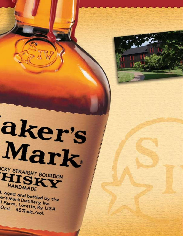Mark ICKY STRAIGHT BOURBON **HANDMADE** 

aker's

d, aged and bottled by the er's Mark Distillery, Inc. I Farm, Loretto, Ky. USA Oml. 45% alc./vol.